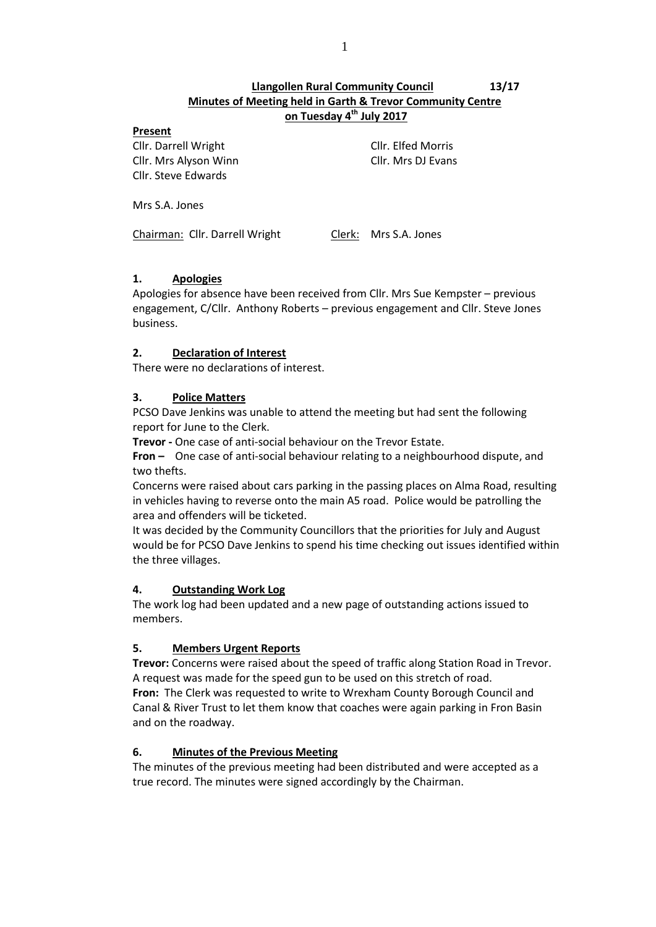# **Llangollen Rural Community Council 13/17 Minutes of Meeting held in Garth & Trevor Community Centre on Tuesday 4 th July 2017**

#### **Present**

Cllr. Darrell Wright Cllr. Elfed Morris Cllr. Mrs Alyson Winn Cllr. Mrs DJ Evans Cllr. Steve Edwards

Mrs S.A. Jones

Chairman: Cllr. Darrell Wright Clerk: Mrs S.A. Jones

# **1. Apologies**

Apologies for absence have been received from Cllr. Mrs Sue Kempster – previous engagement, C/Cllr. Anthony Roberts – previous engagement and Cllr. Steve Jones business.

## **2. Declaration of Interest**

There were no declarations of interest.

## **3. Police Matters**

PCSO Dave Jenkins was unable to attend the meeting but had sent the following report for June to the Clerk.

**Trevor -** One case of anti-social behaviour on the Trevor Estate.

**Fron –** One case of anti-social behaviour relating to a neighbourhood dispute, and two thefts.

Concerns were raised about cars parking in the passing places on Alma Road, resulting in vehicles having to reverse onto the main A5 road. Police would be patrolling the area and offenders will be ticketed.

It was decided by the Community Councillors that the priorities for July and August would be for PCSO Dave Jenkins to spend his time checking out issues identified within the three villages.

#### **4. Outstanding Work Log**

The work log had been updated and a new page of outstanding actions issued to members.

#### **5. Members Urgent Reports**

**Trevor:** Concerns were raised about the speed of traffic along Station Road in Trevor. A request was made for the speed gun to be used on this stretch of road. **Fron:** The Clerk was requested to write to Wrexham County Borough Council and Canal & River Trust to let them know that coaches were again parking in Fron Basin and on the roadway.

#### **6. Minutes of the Previous Meeting**

The minutes of the previous meeting had been distributed and were accepted as a true record. The minutes were signed accordingly by the Chairman.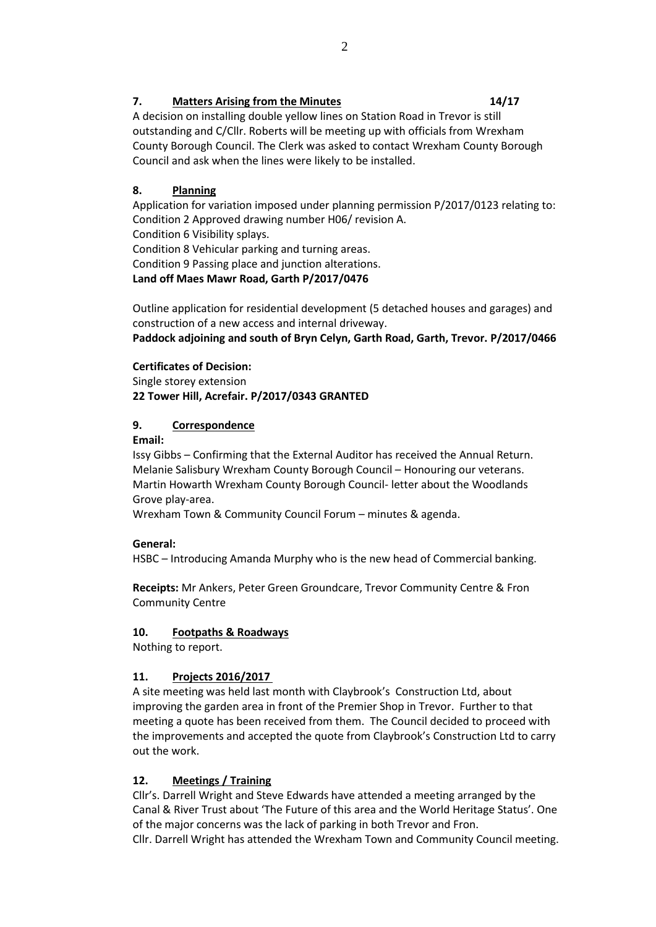## **7. Matters Arising from the Minutes 14/17**

# A decision on installing double yellow lines on Station Road in Trevor is still outstanding and C/Cllr. Roberts will be meeting up with officials from Wrexham County Borough Council. The Clerk was asked to contact Wrexham County Borough Council and ask when the lines were likely to be installed.

# **8. Planning**

Application for variation imposed under planning permission P/2017/0123 relating to: Condition 2 Approved drawing number H06/ revision A. Condition 6 Visibility splays. Condition 8 Vehicular parking and turning areas. Condition 9 Passing place and junction alterations. **Land off Maes Mawr Road, Garth P/2017/0476**

Outline application for residential development (5 detached houses and garages) and construction of a new access and internal driveway.

**Paddock adjoining and south of Bryn Celyn, Garth Road, Garth, Trevor. P/2017/0466**

# **Certificates of Decision:**

Single storey extension **22 Tower Hill, Acrefair. P/2017/0343 GRANTED**

# **9. Correspondence**

**Email:**

Issy Gibbs – Confirming that the External Auditor has received the Annual Return. Melanie Salisbury Wrexham County Borough Council – Honouring our veterans. Martin Howarth Wrexham County Borough Council- letter about the Woodlands Grove play-area.

Wrexham Town & Community Council Forum – minutes & agenda.

# **General:**

HSBC – Introducing Amanda Murphy who is the new head of Commercial banking.

**Receipts:** Mr Ankers, Peter Green Groundcare, Trevor Community Centre & Fron Community Centre

# **10. Footpaths & Roadways**

Nothing to report.

# **11. Projects 2016/2017**

A site meeting was held last month with Claybrook's Construction Ltd, about improving the garden area in front of the Premier Shop in Trevor. Further to that meeting a quote has been received from them. The Council decided to proceed with the improvements and accepted the quote from Claybrook's Construction Ltd to carry out the work.

# **12. Meetings / Training**

Cllr's. Darrell Wright and Steve Edwards have attended a meeting arranged by the Canal & River Trust about 'The Future of this area and the World Heritage Status'. One of the major concerns was the lack of parking in both Trevor and Fron. Cllr. Darrell Wright has attended the Wrexham Town and Community Council meeting.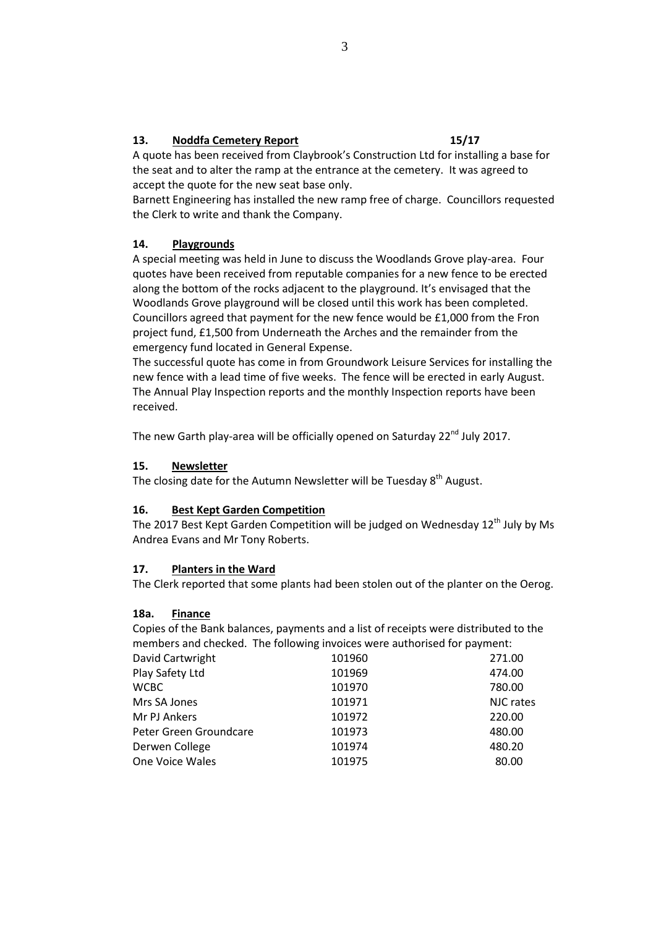## **13. Noddfa Cemetery Report 15/17**

A quote has been received from Claybrook's Construction Ltd for installing a base for the seat and to alter the ramp at the entrance at the cemetery. It was agreed to accept the quote for the new seat base only.

Barnett Engineering has installed the new ramp free of charge. Councillors requested the Clerk to write and thank the Company.

#### **14. Playgrounds**

A special meeting was held in June to discuss the Woodlands Grove play-area. Four quotes have been received from reputable companies for a new fence to be erected along the bottom of the rocks adjacent to the playground. It's envisaged that the Woodlands Grove playground will be closed until this work has been completed. Councillors agreed that payment for the new fence would be £1,000 from the Fron project fund, £1,500 from Underneath the Arches and the remainder from the emergency fund located in General Expense.

The successful quote has come in from Groundwork Leisure Services for installing the new fence with a lead time of five weeks. The fence will be erected in early August. The Annual Play Inspection reports and the monthly Inspection reports have been received.

The new Garth play-area will be officially opened on Saturday  $22^{nd}$  July 2017.

#### **15. Newsletter**

The closing date for the Autumn Newsletter will be Tuesday  $8<sup>th</sup>$  August.

#### **16. Best Kept Garden Competition**

The 2017 Best Kept Garden Competition will be judged on Wednesday  $12<sup>th</sup>$  July by Ms Andrea Evans and Mr Tony Roberts.

#### **17. Planters in the Ward**

The Clerk reported that some plants had been stolen out of the planter on the Oerog.

#### **18a. Finance**

Copies of the Bank balances, payments and a list of receipts were distributed to the members and checked. The following invoices were authorised for payment:

| David Cartwright       | 101960 | 271.00    |
|------------------------|--------|-----------|
| Play Safety Ltd        | 101969 | 474.00    |
| <b>WCBC</b>            | 101970 | 780.00    |
| Mrs SA Jones           | 101971 | NJC rates |
| Mr PJ Ankers           | 101972 | 220.00    |
| Peter Green Groundcare | 101973 | 480.00    |
| Derwen College         | 101974 | 480.20    |
| One Voice Wales        | 101975 | 80.00     |